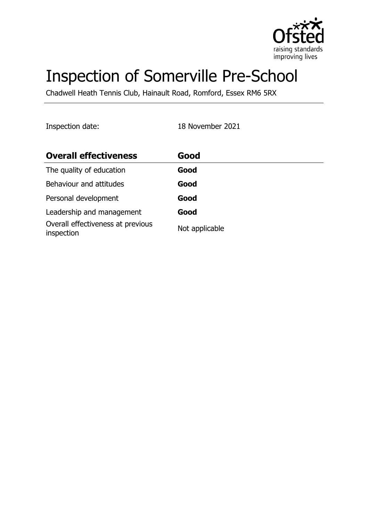

# Inspection of Somerville Pre-School

Chadwell Heath Tennis Club, Hainault Road, Romford, Essex RM6 5RX

Inspection date: 18 November 2021

| <b>Overall effectiveness</b>                    | Good           |
|-------------------------------------------------|----------------|
| The quality of education                        | Good           |
| Behaviour and attitudes                         | Good           |
| Personal development                            | Good           |
| Leadership and management                       | Good           |
| Overall effectiveness at previous<br>inspection | Not applicable |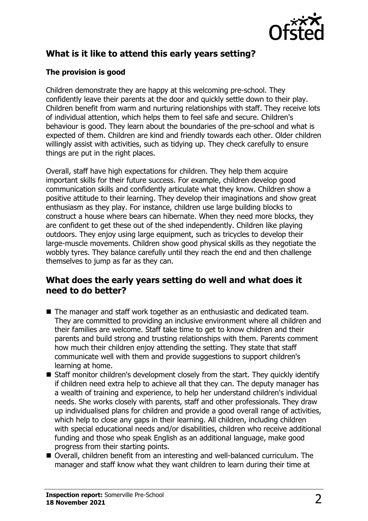

# **What is it like to attend this early years setting?**

## **The provision is good**

Children demonstrate they are happy at this welcoming pre-school. They confidently leave their parents at the door and quickly settle down to their play. Children benefit from warm and nurturing relationships with staff. They receive lots of individual attention, which helps them to feel safe and secure. Children's behaviour is good. They learn about the boundaries of the pre-school and what is expected of them. Children are kind and friendly towards each other. Older children willingly assist with activities, such as tidying up. They check carefully to ensure things are put in the right places.

Overall, staff have high expectations for children. They help them acquire important skills for their future success. For example, children develop good communication skills and confidently articulate what they know. Children show a positive attitude to their learning. They develop their imaginations and show great enthusiasm as they play. For instance, children use large building blocks to construct a house where bears can hibernate. When they need more blocks, they are confident to get these out of the shed independently. Children like playing outdoors. They enjoy using large equipment, such as tricycles to develop their large-muscle movements. Children show good physical skills as they negotiate the wobbly tyres. They balance carefully until they reach the end and then challenge themselves to jump as far as they can.

# **What does the early years setting do well and what does it need to do better?**

- $\blacksquare$  The manager and staff work together as an enthusiastic and dedicated team. They are committed to providing an inclusive environment where all children and their families are welcome. Staff take time to get to know children and their parents and build strong and trusting relationships with them. Parents comment how much their children enjoy attending the setting. They state that staff communicate well with them and provide suggestions to support children's learning at home.
- $\blacksquare$  Staff monitor children's development closely from the start. They quickly identify if children need extra help to achieve all that they can. The deputy manager has a wealth of training and experience, to help her understand children's individual needs. She works closely with parents, staff and other professionals. They draw up individualised plans for children and provide a good overall range of activities, which help to close any gaps in their learning. All children, including children with special educational needs and/or disabilities, children who receive additional funding and those who speak English as an additional language, make good progress from their starting points.
- Overall, children benefit from an interesting and well-balanced curriculum. The manager and staff know what they want children to learn during their time at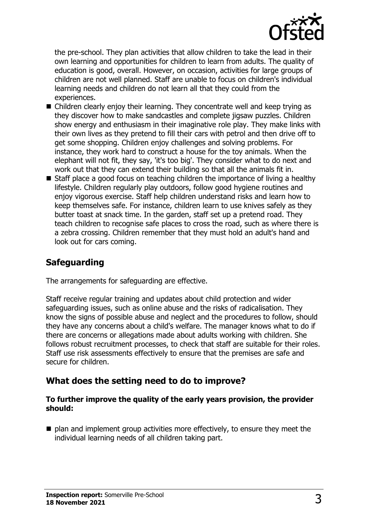

the pre-school. They plan activities that allow children to take the lead in their own learning and opportunities for children to learn from adults. The quality of education is good, overall. However, on occasion, activities for large groups of children are not well planned. Staff are unable to focus on children's individual learning needs and children do not learn all that they could from the experiences.

- $\blacksquare$  Children clearly enjoy their learning. They concentrate well and keep trying as they discover how to make sandcastles and complete jigsaw puzzles. Children show energy and enthusiasm in their imaginative role play. They make links with their own lives as they pretend to fill their cars with petrol and then drive off to get some shopping. Children enjoy challenges and solving problems. For instance, they work hard to construct a house for the toy animals. When the elephant will not fit, they say, 'it's too big'. They consider what to do next and work out that they can extend their building so that all the animals fit in.
- $\blacksquare$  Staff place a good focus on teaching children the importance of living a healthy lifestyle. Children regularly play outdoors, follow good hygiene routines and enjoy vigorous exercise. Staff help children understand risks and learn how to keep themselves safe. For instance, children learn to use knives safely as they butter toast at snack time. In the garden, staff set up a pretend road. They teach children to recognise safe places to cross the road, such as where there is a zebra crossing. Children remember that they must hold an adult's hand and look out for cars coming.

# **Safeguarding**

The arrangements for safeguarding are effective.

Staff receive regular training and updates about child protection and wider safeguarding issues, such as online abuse and the risks of radicalisation. They know the signs of possible abuse and neglect and the procedures to follow, should they have any concerns about a child's welfare. The manager knows what to do if there are concerns or allegations made about adults working with children. She follows robust recruitment processes, to check that staff are suitable for their roles. Staff use risk assessments effectively to ensure that the premises are safe and secure for children.

## **What does the setting need to do to improve?**

#### **To further improve the quality of the early years provision, the provider should:**

 $\blacksquare$  plan and implement group activities more effectively, to ensure they meet the individual learning needs of all children taking part.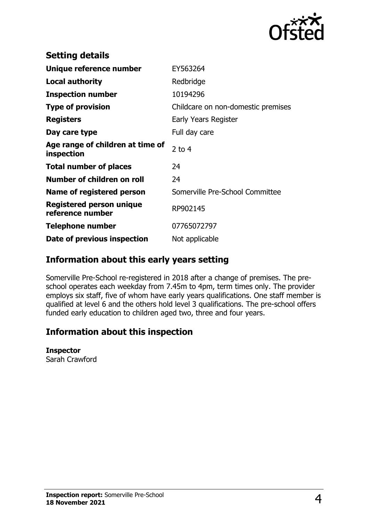

| <b>Setting details</b>                         |                                    |
|------------------------------------------------|------------------------------------|
| Unique reference number                        | EY563264                           |
| <b>Local authority</b>                         | Redbridge                          |
| <b>Inspection number</b>                       | 10194296                           |
| <b>Type of provision</b>                       | Childcare on non-domestic premises |
| <b>Registers</b>                               | Early Years Register               |
| Day care type                                  | Full day care                      |
| Age range of children at time of<br>inspection | $2$ to 4                           |
| <b>Total number of places</b>                  | 24                                 |
| Number of children on roll                     | 24                                 |
| Name of registered person                      | Somerville Pre-School Committee    |
| Registered person unique<br>reference number   | RP902145                           |
| <b>Telephone number</b>                        | 07765072797                        |
| Date of previous inspection                    | Not applicable                     |

## **Information about this early years setting**

Somerville Pre-School re-registered in 2018 after a change of premises. The preschool operates each weekday from 7.45m to 4pm, term times only. The provider employs six staff, five of whom have early years qualifications. One staff member is qualified at level 6 and the others hold level 3 qualifications. The pre-school offers funded early education to children aged two, three and four years.

# **Information about this inspection**

### **Inspector**

Sarah Crawford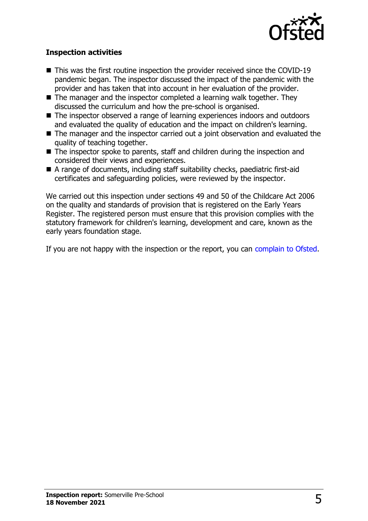

## **Inspection activities**

- $\blacksquare$  This was the first routine inspection the provider received since the COVID-19 pandemic began. The inspector discussed the impact of the pandemic with the provider and has taken that into account in her evaluation of the provider.
- $\blacksquare$  The manager and the inspector completed a learning walk together. They discussed the curriculum and how the pre-school is organised.
- The inspector observed a range of learning experiences indoors and outdoors and evaluated the quality of education and the impact on children's learning.
- $\blacksquare$  The manager and the inspector carried out a joint observation and evaluated the quality of teaching together.
- $\blacksquare$  The inspector spoke to parents, staff and children during the inspection and considered their views and experiences.
- $\blacksquare$  A range of documents, including staff suitability checks, paediatric first-aid certificates and safeguarding policies, were reviewed by the inspector.

We carried out this inspection under sections 49 and 50 of the Childcare Act 2006 on the quality and standards of provision that is registered on the Early Years Register. The registered person must ensure that this provision complies with the statutory framework for children's learning, development and care, known as the early years foundation stage.

If you are not happy with the inspection or the report, you can [complain to Ofsted](http://www.gov.uk/complain-ofsted-report).